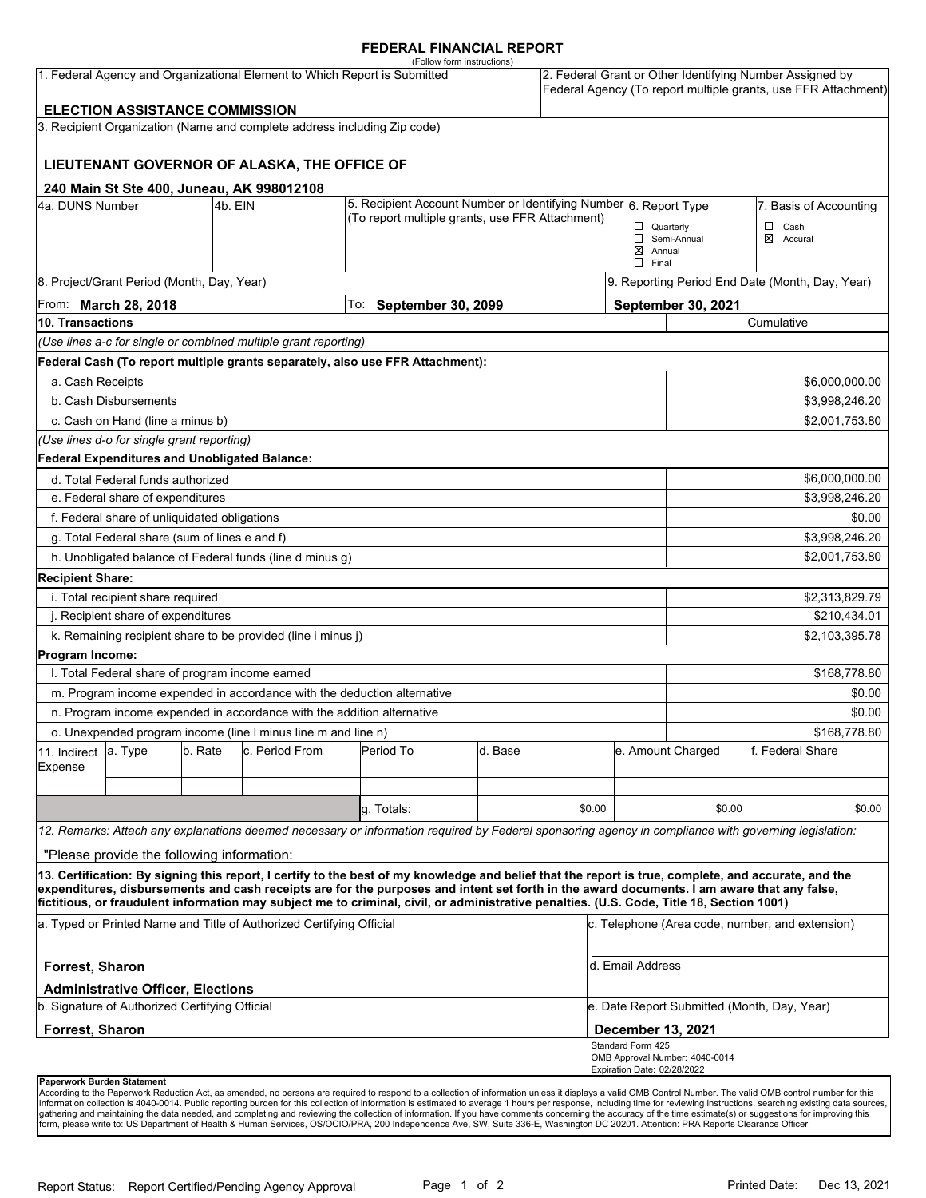## **FEDERAL FINANCIAL REPORT**

|                                                                           |                                                 |         |                                                                          | (Follow form instructions)                                                                                                                                                                                                                                                              |         |        |                                                                                                                            |                                                 |                             |  |
|---------------------------------------------------------------------------|-------------------------------------------------|---------|--------------------------------------------------------------------------|-----------------------------------------------------------------------------------------------------------------------------------------------------------------------------------------------------------------------------------------------------------------------------------------|---------|--------|----------------------------------------------------------------------------------------------------------------------------|-------------------------------------------------|-----------------------------|--|
| 1. Federal Agency and Organizational Element to Which Report is Submitted |                                                 |         |                                                                          |                                                                                                                                                                                                                                                                                         |         |        | 2. Federal Grant or Other Identifying Number Assigned by<br>Federal Agency (To report multiple grants, use FFR Attachment) |                                                 |                             |  |
|                                                                           | <b>ELECTION ASSISTANCE COMMISSION</b>           |         |                                                                          |                                                                                                                                                                                                                                                                                         |         |        |                                                                                                                            |                                                 |                             |  |
|                                                                           |                                                 |         | 3. Recipient Organization (Name and complete address including Zip code) |                                                                                                                                                                                                                                                                                         |         |        |                                                                                                                            |                                                 |                             |  |
|                                                                           |                                                 |         | LIEUTENANT GOVERNOR OF ALASKA, THE OFFICE OF                             |                                                                                                                                                                                                                                                                                         |         |        |                                                                                                                            |                                                 |                             |  |
|                                                                           |                                                 |         | 240 Main St Ste 400, Juneau, AK 998012108                                |                                                                                                                                                                                                                                                                                         |         |        |                                                                                                                            |                                                 |                             |  |
| 4a. DUNS Number                                                           |                                                 | 4b. EIN |                                                                          | 5. Recipient Account Number or Identifying Number 6. Report Type                                                                                                                                                                                                                        |         |        |                                                                                                                            |                                                 | 7. Basis of Accounting      |  |
|                                                                           | (To report multiple grants, use FFR Attachment) |         |                                                                          |                                                                                                                                                                                                                                                                                         |         |        | $\Box$ Quarterly<br>$\boxtimes$ Annual                                                                                     | Semi-Annual                                     | $\Box$ Cash<br>⊠<br>Accural |  |
|                                                                           |                                                 |         |                                                                          |                                                                                                                                                                                                                                                                                         |         |        | $\Box$ Final                                                                                                               |                                                 |                             |  |
|                                                                           | 8. Project/Grant Period (Month, Day, Year)      |         |                                                                          |                                                                                                                                                                                                                                                                                         |         |        |                                                                                                                            | 9. Reporting Period End Date (Month, Day, Year) |                             |  |
| From: <b>March 28, 2018</b>                                               |                                                 |         |                                                                          | To: September 30, 2099                                                                                                                                                                                                                                                                  |         |        |                                                                                                                            | September 30, 2021                              |                             |  |
| 10. Transactions                                                          |                                                 |         |                                                                          |                                                                                                                                                                                                                                                                                         |         |        |                                                                                                                            |                                                 | Cumulative                  |  |
|                                                                           |                                                 |         | (Use lines a-c for single or combined multiple grant reporting)          |                                                                                                                                                                                                                                                                                         |         |        |                                                                                                                            |                                                 |                             |  |
|                                                                           |                                                 |         |                                                                          | Federal Cash (To report multiple grants separately, also use FFR Attachment):                                                                                                                                                                                                           |         |        |                                                                                                                            |                                                 |                             |  |
| a. Cash Receipts                                                          |                                                 |         |                                                                          |                                                                                                                                                                                                                                                                                         |         |        |                                                                                                                            |                                                 | \$6,000,000.00              |  |
|                                                                           | b. Cash Disbursements                           |         |                                                                          |                                                                                                                                                                                                                                                                                         |         |        |                                                                                                                            |                                                 | \$3,998,246.20              |  |
|                                                                           | c. Cash on Hand (line a minus b)                |         |                                                                          |                                                                                                                                                                                                                                                                                         |         |        |                                                                                                                            |                                                 | \$2,001,753.80              |  |
|                                                                           | (Use lines d-o for single grant reporting)      |         |                                                                          |                                                                                                                                                                                                                                                                                         |         |        |                                                                                                                            |                                                 |                             |  |
|                                                                           | Federal Expenditures and Unobligated Balance:   |         |                                                                          |                                                                                                                                                                                                                                                                                         |         |        |                                                                                                                            |                                                 |                             |  |
|                                                                           | d. Total Federal funds authorized               |         |                                                                          |                                                                                                                                                                                                                                                                                         |         |        |                                                                                                                            | \$6,000,000.00                                  |                             |  |
|                                                                           | e. Federal share of expenditures                |         |                                                                          |                                                                                                                                                                                                                                                                                         |         |        |                                                                                                                            |                                                 | \$3,998,246.20              |  |
|                                                                           | f. Federal share of unliquidated obligations    |         |                                                                          |                                                                                                                                                                                                                                                                                         |         |        |                                                                                                                            |                                                 | \$0.00                      |  |
|                                                                           | g. Total Federal share (sum of lines e and f)   |         |                                                                          |                                                                                                                                                                                                                                                                                         |         |        |                                                                                                                            |                                                 | \$3,998,246.20              |  |
|                                                                           |                                                 |         | h. Unobligated balance of Federal funds (line d minus g)                 |                                                                                                                                                                                                                                                                                         |         |        |                                                                                                                            |                                                 | \$2,001,753.80              |  |
| <b>Recipient Share:</b>                                                   |                                                 |         |                                                                          |                                                                                                                                                                                                                                                                                         |         |        |                                                                                                                            |                                                 |                             |  |
|                                                                           | i. Total recipient share required               |         |                                                                          |                                                                                                                                                                                                                                                                                         |         |        |                                                                                                                            |                                                 | \$2,313,829.79              |  |
|                                                                           | j. Recipient share of expenditures              |         |                                                                          |                                                                                                                                                                                                                                                                                         |         |        |                                                                                                                            |                                                 | \$210,434.01                |  |
|                                                                           |                                                 |         | k. Remaining recipient share to be provided (line i minus j)             |                                                                                                                                                                                                                                                                                         |         |        |                                                                                                                            |                                                 | \$2,103,395.78              |  |
| Program Income:                                                           |                                                 |         |                                                                          |                                                                                                                                                                                                                                                                                         |         |        |                                                                                                                            |                                                 |                             |  |
|                                                                           | I. Total Federal share of program income earned |         |                                                                          |                                                                                                                                                                                                                                                                                         |         |        |                                                                                                                            |                                                 | \$168,778.80                |  |
|                                                                           |                                                 |         | m. Program income expended in accordance with the deduction alternative  |                                                                                                                                                                                                                                                                                         |         |        |                                                                                                                            |                                                 | \$0.00                      |  |
|                                                                           |                                                 |         | n. Program income expended in accordance with the addition alternative   |                                                                                                                                                                                                                                                                                         |         |        |                                                                                                                            |                                                 | \$0.00                      |  |
| o. Unexpended program income (line I minus line m and line n)             |                                                 |         |                                                                          |                                                                                                                                                                                                                                                                                         |         |        |                                                                                                                            | \$168,778.80                                    |                             |  |
| 11. Indirect                                                              | a. Type                                         | b. Rate | c. Period From                                                           | Period To                                                                                                                                                                                                                                                                               | d. Base |        |                                                                                                                            | e. Amount Charged                               | lf. Federal Share           |  |
| Expense                                                                   |                                                 |         |                                                                          |                                                                                                                                                                                                                                                                                         |         |        |                                                                                                                            |                                                 |                             |  |
|                                                                           |                                                 |         |                                                                          |                                                                                                                                                                                                                                                                                         |         |        |                                                                                                                            |                                                 |                             |  |
|                                                                           |                                                 |         |                                                                          | g. Totals:                                                                                                                                                                                                                                                                              |         | \$0.00 |                                                                                                                            | \$0.00                                          | \$0.00                      |  |
|                                                                           |                                                 |         |                                                                          | 12. Remarks: Attach any explanations deemed necessary or information required by Federal sponsoring agency in compliance with governing legislation:                                                                                                                                    |         |        |                                                                                                                            |                                                 |                             |  |
|                                                                           | "Please provide the following information:      |         |                                                                          |                                                                                                                                                                                                                                                                                         |         |        |                                                                                                                            |                                                 |                             |  |
|                                                                           |                                                 |         |                                                                          | 13. Certification: By signing this report, I certify to the best of my knowledge and belief that the report is true, complete, and accurate, and the                                                                                                                                    |         |        |                                                                                                                            |                                                 |                             |  |
|                                                                           |                                                 |         |                                                                          | expenditures, disbursements and cash receipts are for the purposes and intent set forth in the award documents. I am aware that any false,<br>fictitious, or fraudulent information may subject me to criminal, civil, or administrative penalties. (U.S. Code, Title 18, Section 1001) |         |        |                                                                                                                            |                                                 |                             |  |
| a. Typed or Printed Name and Title of Authorized Certifying Official      |                                                 |         |                                                                          |                                                                                                                                                                                                                                                                                         |         |        | c. Telephone (Area code, number, and extension)                                                                            |                                                 |                             |  |
| Forrest, Sharon                                                           |                                                 |         |                                                                          |                                                                                                                                                                                                                                                                                         |         |        | d. Email Address                                                                                                           |                                                 |                             |  |
| <b>Administrative Officer, Elections</b>                                  |                                                 |         |                                                                          |                                                                                                                                                                                                                                                                                         |         |        |                                                                                                                            |                                                 |                             |  |
| b. Signature of Authorized Certifying Official                            |                                                 |         |                                                                          |                                                                                                                                                                                                                                                                                         |         |        |                                                                                                                            | e. Date Report Submitted (Month, Day, Year)     |                             |  |
| <b>Forrest, Sharon</b>                                                    |                                                 |         |                                                                          |                                                                                                                                                                                                                                                                                         |         |        |                                                                                                                            | <b>December 13, 2021</b><br>Standard Form 425   |                             |  |
|                                                                           |                                                 |         |                                                                          |                                                                                                                                                                                                                                                                                         |         |        |                                                                                                                            | OMB Approval Number: 4040-0014                  |                             |  |
| <b>Danopuork Burdon Statement</b>                                         |                                                 |         |                                                                          |                                                                                                                                                                                                                                                                                         |         |        | Expiration Date: 02/28/2022                                                                                                |                                                 |                             |  |

**Paperwork Burden Statement**<br>According to the Paperwork Reduction Act, as amended, no persons are required to respond to a collection of information unless it displays a valid OMB Control Number. The valid OMB control numb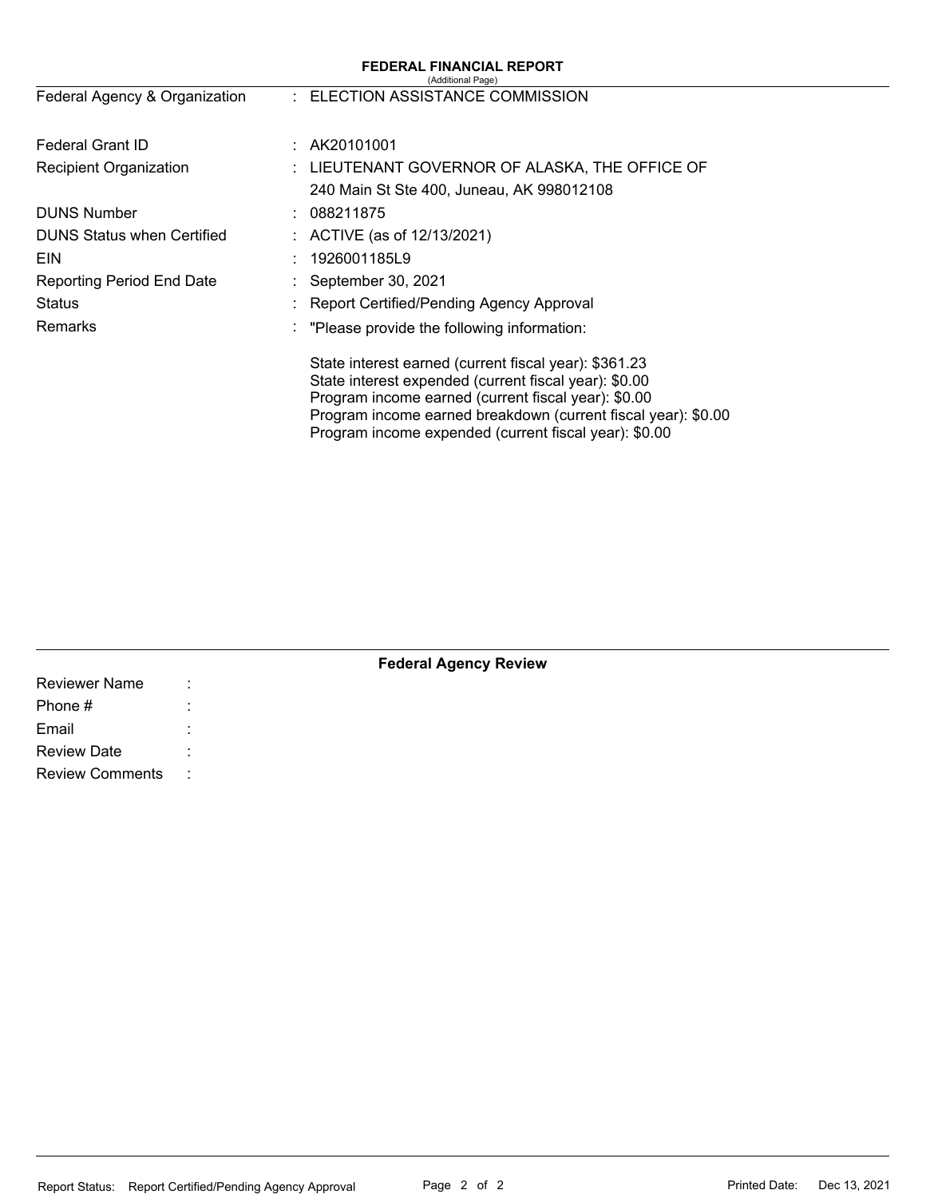|                                   | <b>FEDERAL FINANCIAL REPORT</b><br>(Additional Page)                                                                                                                                                                                                                                            |
|-----------------------------------|-------------------------------------------------------------------------------------------------------------------------------------------------------------------------------------------------------------------------------------------------------------------------------------------------|
| Federal Agency & Organization     | : ELECTION ASSISTANCE COMMISSION                                                                                                                                                                                                                                                                |
| Federal Grant ID                  | : A K20101001                                                                                                                                                                                                                                                                                   |
| <b>Recipient Organization</b>     | : LIEUTENANT GOVERNOR OF ALASKA, THE OFFICE OF                                                                                                                                                                                                                                                  |
|                                   | 240 Main St Ste 400, Juneau, AK 998012108                                                                                                                                                                                                                                                       |
| <b>DUNS Number</b>                | 088211875                                                                                                                                                                                                                                                                                       |
| <b>DUNS Status when Certified</b> | : ACTIVE (as of $12/13/2021$ )                                                                                                                                                                                                                                                                  |
| <b>EIN</b>                        | 1926001185L9                                                                                                                                                                                                                                                                                    |
| <b>Reporting Period End Date</b>  | : September 30, 2021                                                                                                                                                                                                                                                                            |
| Status                            | Report Certified/Pending Agency Approval                                                                                                                                                                                                                                                        |
| Remarks                           | "Please provide the following information:                                                                                                                                                                                                                                                      |
|                                   | State interest earned (current fiscal year): \$361.23<br>State interest expended (current fiscal year): \$0.00<br>Program income earned (current fiscal year): \$0.00<br>Program income earned breakdown (current fiscal year): \$0.00<br>Program income expended (current fiscal year): \$0.00 |

| <b>Reviewer Name</b>   | ٠<br>$\ddot{\phantom{0}}$ |  |  |
|------------------------|---------------------------|--|--|
| Phone #                |                           |  |  |
| Email                  | $\cdot$                   |  |  |
| <b>Review Date</b>     |                           |  |  |
| <b>Review Comments</b> | $\sim$ 1.                 |  |  |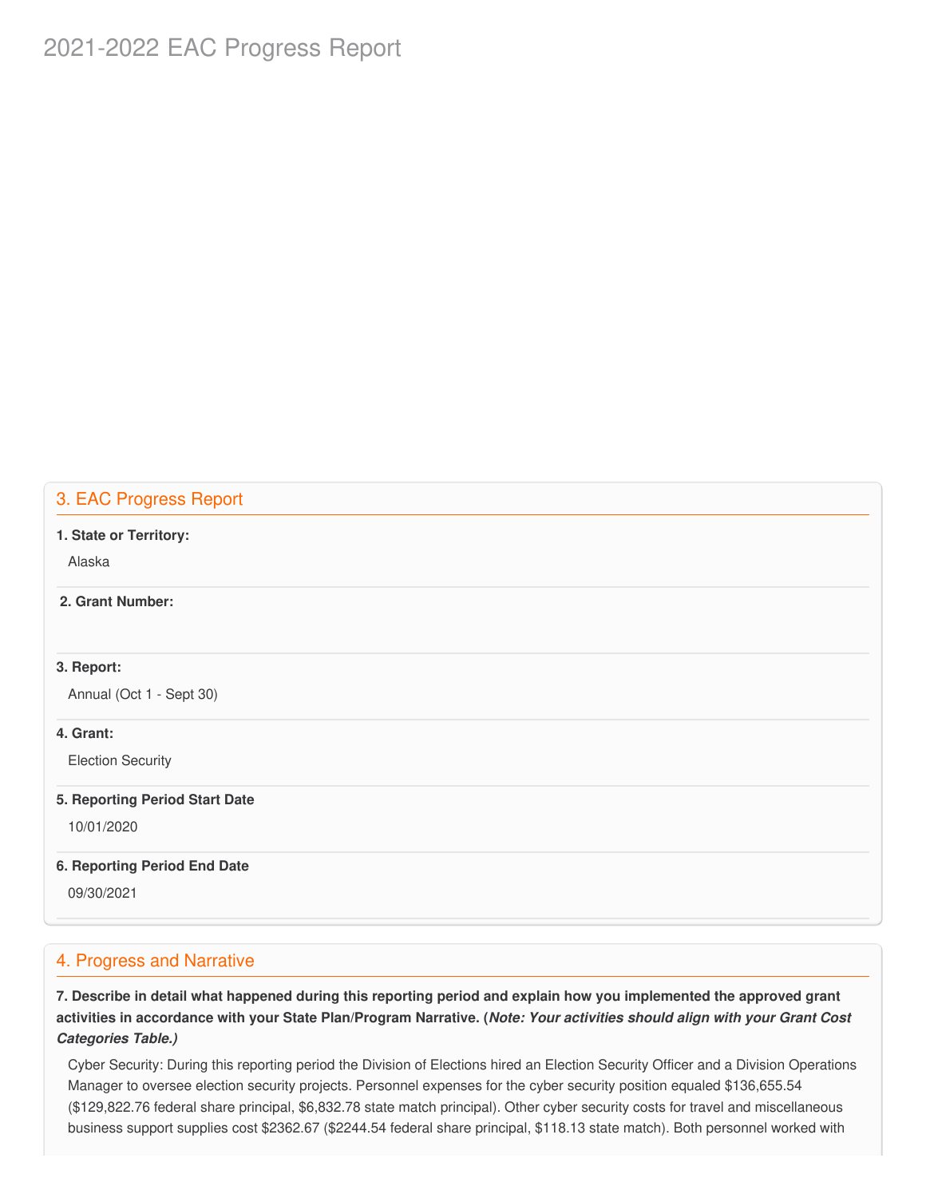# 2021-2022 EAC Progress Report

# 3. EAC Progress Report

#### **1. State or Territory:**

Alaska

## **2. Grant Number:**

## **3. Report:**

Annual (Oct 1 - Sept 30)

## **4. Grant:**

Election Security

#### **5. Reporting Period Start Date**

10/01/2020

## **6. Reporting Period End Date**

09/30/2021

# 4. Progress and Narrative

7. Describe in detail what happened during this reporting period and explain how you implemented the approved grant activities in accordance with your State Plan/Program Narrative. (*Note: Your activities should align with your Grant Cost Categories Table.)*

 Cyber Security: During this reporting period the Division of Elections hired an Election Security Officer and a Division Operations Manager to oversee election security projects. Personnel expenses for the cyber security position equaled [\\$136,655.54](https://136,655.54) ([\\$129,822.76](https://129,822.76) federal share principal, \$[6,832.78](https://6,832.78) state match principal). Other cyber security costs for travel and miscellaneous business support supplies cost \$2362.67 (\$2244.54 federal share principal, \$118.13 state match). Both personnel worked with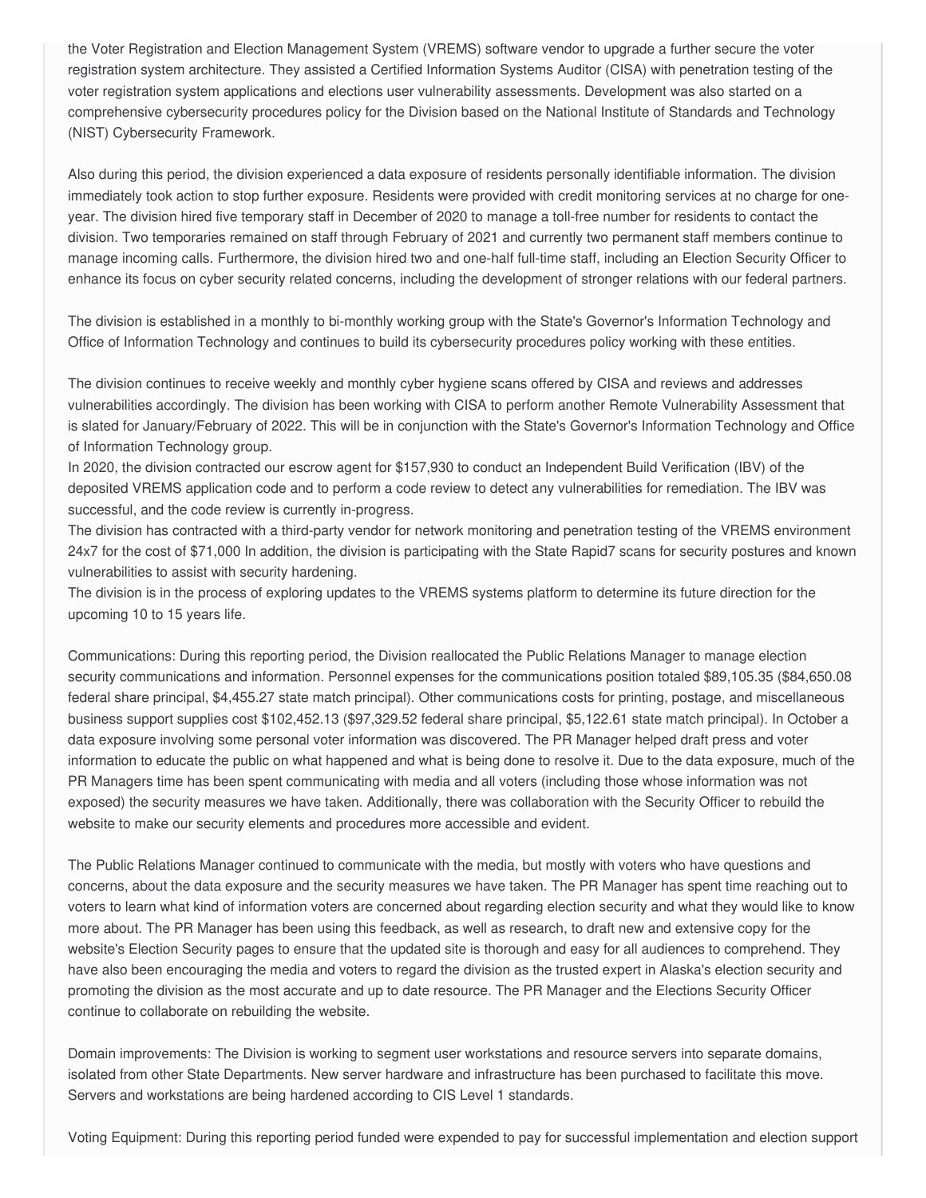the Voter Registration and Election Management System (VREMS) software vendor to upgrade a further secure the voter registration system architecture. They assisted a Certified Information Systems Auditor (CISA) with penetration testing of the voter registration system applications and elections user vulnerability assessments. Development was also started on a comprehensive cybersecurity procedures policy for the Division based on the National Institute of Standards and Technology (NIST) Cybersecurity Framework.

 Also during this period, the division experienced a data exposure of residents personally identifiable information. The division immediately took action to stop further exposure. Residents were provided with credit monitoring services at no charge for one- year. The division hired five temporary staff in December of 2020 to manage a toll-free number for residents to contact the division. Two temporaries remained on staff through February of 2021 and currently two permanent staff members continue to manage incoming calls. Furthermore, the division hired two and one-half full-time staff, including an Election Security Officer to enhance its focus on cyber security related concerns, including the development of stronger relations with our federal partners.

 The division is established in a monthly to bi-monthly working group with the State's Governor's Information Technology and Office of Information Technology and continues to build its cybersecurity procedures policy working with these entities.

 The division continues to receive weekly and monthly cyber hygiene scans offered by CISA and reviews and addresses vulnerabilities accordingly. The division has been working with CISA to perform another Remote Vulnerability Assessment that is slated for January/February of 2022. This will be in conjunction with the State's Governor's Information Technology and Office of Information Technology group.

 In 2020, the division contracted our escrow agent for \$157,930 to conduct an Independent Build Verification (IBV) of the deposited VREMS application code and to perform a code review to detect any vulnerabilities for remediation. The IBV was successful, and the code review is currently in-progress.

 The division has contracted with a third-party vendor for network monitoring and penetration testing of the VREMS environment 24x7 for the cost of \$71,000 In addition, the division is participating with the State Rapid7 scans for security postures and known vulnerabilities to assist with security hardening.

 The division is in the process of exploring updates to the VREMS systems platform to determine its future direction for the upcoming 10 to 15 years life.

 Communications: During this reporting period, the Division reallocated the Public Relations Manager to manage election security communications and information. Personnel expenses for the communications position totaled \$[89,105.35](https://89,105.35) ([\\$84,650.08](https://84,650.08) federal share principal, \$[4,455.27](https://4,455.27) state match principal). Other communications costs for printing, postage, and miscellaneous business support supplies cost [\\$102,452.13](https://102,452.13) (\$[97,329.52](https://97,329.52) federal share principal, [\\$5,122.61](https://5,122.61) state match principal). In October a data exposure involving some personal voter information was discovered. The PR Manager helped draft press and voter information to educate the public on what happened and what is being done to resolve it. Due to the data exposure, much of the PR Managers time has been spent communicating with media and all voters (including those whose information was not exposed) the security measures we have taken. Additionally, there was collaboration with the Security Officer to rebuild the website to make our security elements and procedures more accessible and evident.

 The Public Relations Manager continued to communicate with the media, but mostly with voters who have questions and concerns, about the data exposure and the security measures we have taken. The PR Manager has spent time reaching out to voters to learn what kind of information voters are concerned about regarding election security and what they would like to know more about. The PR Manager has been using this feedback, as well as research, to draft new and extensive copy for the website's Election Security pages to ensure that the updated site is thorough and easy for all audiences to comprehend. They have also been encouraging the media and voters to regard the division as the trusted expert in Alaska's election security and promoting the division as the most accurate and up to date resource. The PR Manager and the Elections Security Officer continue to collaborate on rebuilding the website.

 Domain improvements: The Division is working to segment user workstations and resource servers into separate domains, isolated from other State Departments. New server hardware and infrastructure has been purchased to facilitate this move. Servers and workstations are being hardened according to CIS Level 1 standards.

Voting Equipment: During this reporting period funded were expended to pay for successful implementation and election support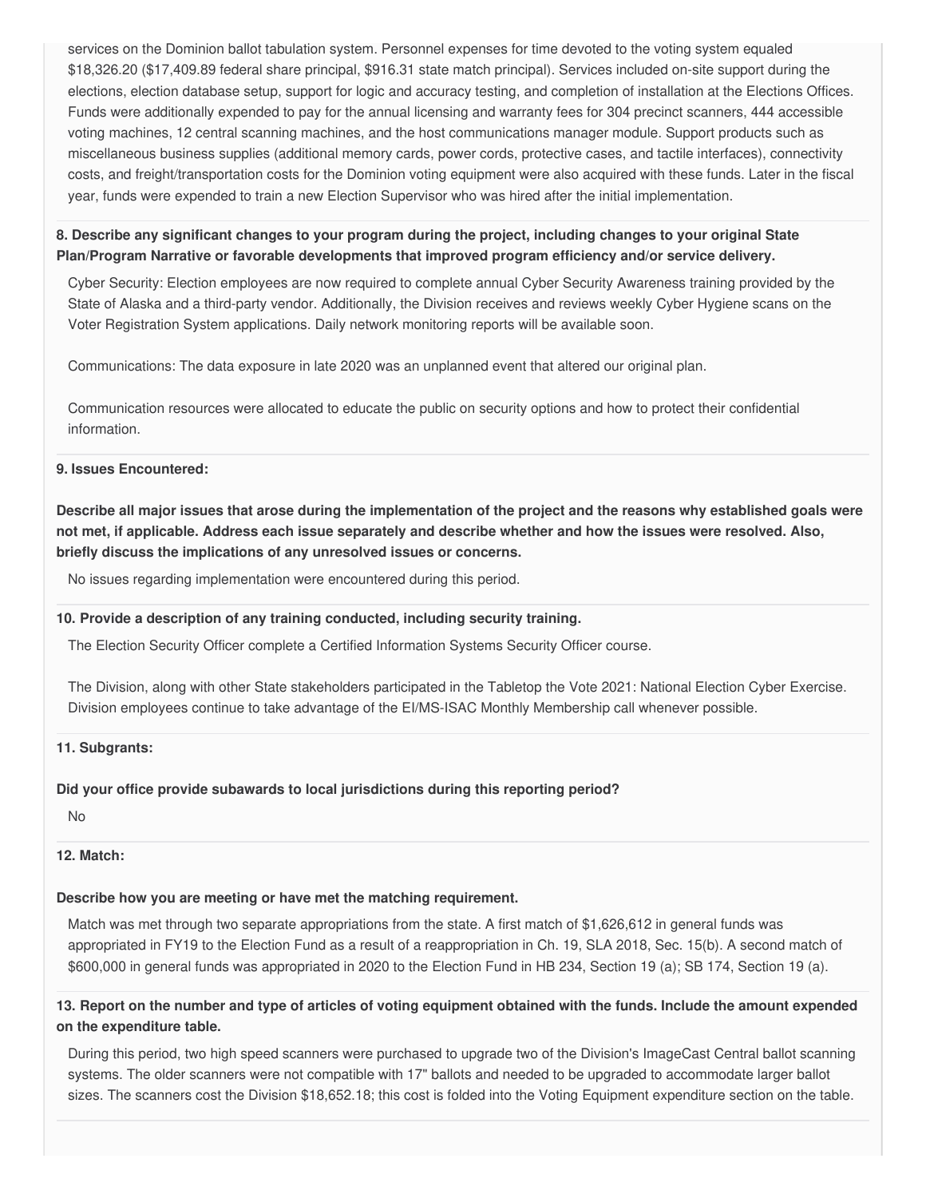services on the Dominion ballot tabulation system. Personnel expenses for time devoted to the voting system equaled [\\$18,326.20](https://18,326.20) (\$[17,409.89](https://17,409.89) federal share principal, \$916.31 state match principal). Services included on-site support during the elections, election database setup, support for logic and accuracy testing, and completion of installation at the Elections Offices. Funds were additionally expended to pay for the annual licensing and warranty fees for 304 precinct scanners, 444 accessible voting machines, 12 central scanning machines, and the host communications manager module. Support products such as miscellaneous business supplies (additional memory cards, power cords, protective cases, and tactile interfaces), connectivity costs, and freight/transportation costs for the Dominion voting equipment were also acquired with these funds. Later in the fiscal year, funds were expended to train a new Election Supervisor who was hired after the initial implementation.

8. Describe any significant changes to your program during the project, including changes to your original State  **Plan/Program Narrative or favorable developments that improved program efficiency and/or service delivery.**

 Cyber Security: Election employees are now required to complete annual Cyber Security Awareness training provided by the State of Alaska and a third-party vendor. Additionally, the Division receives and reviews weekly Cyber Hygiene scans on the Voter Registration System applications. Daily network monitoring reports will be available soon.

Communications: The data exposure in late 2020 was an unplanned event that altered our original plan.

 Communication resources were allocated to educate the public on security options and how to protect their confidential information.

#### **9. Issues Encountered:**

Describe all major issues that arose during the implementation of the project and the reasons why established goals were not met, if applicable. Address each issue separately and describe whether and how the issues were resolved. Also,  **briefly discuss the implications of any unresolved issues or concerns.**

No issues regarding implementation were encountered during this period.

#### **10. Provide a description of any training conducted, including security training.**

The Election Security Officer complete a Certified Information Systems Security Officer course.

 The Division, along with other State stakeholders participated in the Tabletop the Vote 2021: National Election Cyber Exercise. Division employees continue to take advantage of the EI/MS-ISAC Monthly Membership call whenever possible.

#### **11. Subgrants:**

## **Did your office provide subawards to local jurisdictions during this reporting period?**

No

## **12. Match:**

## **Describe how you are meeting or have met the matching requirement.**

 Match was met through two separate appropriations from the state. A first match of \$1,626,612 in general funds was appropriated in FY19 to the Election Fund as a result of a reappropriation in Ch. 19, SLA 2018, Sec. 15(b). A second match of \$600,000 in general funds was appropriated in 2020 to the Election Fund in HB 234, Section 19 (a); SB 174, Section 19 (a).

## 13. Report on the number and type of articles of voting equipment obtained with the funds. Include the amount expended  **on the expenditure table.**

 During this period, two high speed scanners were purchased to upgrade two of the Division's ImageCast Central ballot scanning systems. The older scanners were not compatible with 17" ballots and needed to be upgraded to accommodate larger ballot sizes. The scanners cost the Division [\\$18,652.18](https://18,652.18); this cost is folded into the Voting Equipment expenditure section on the table.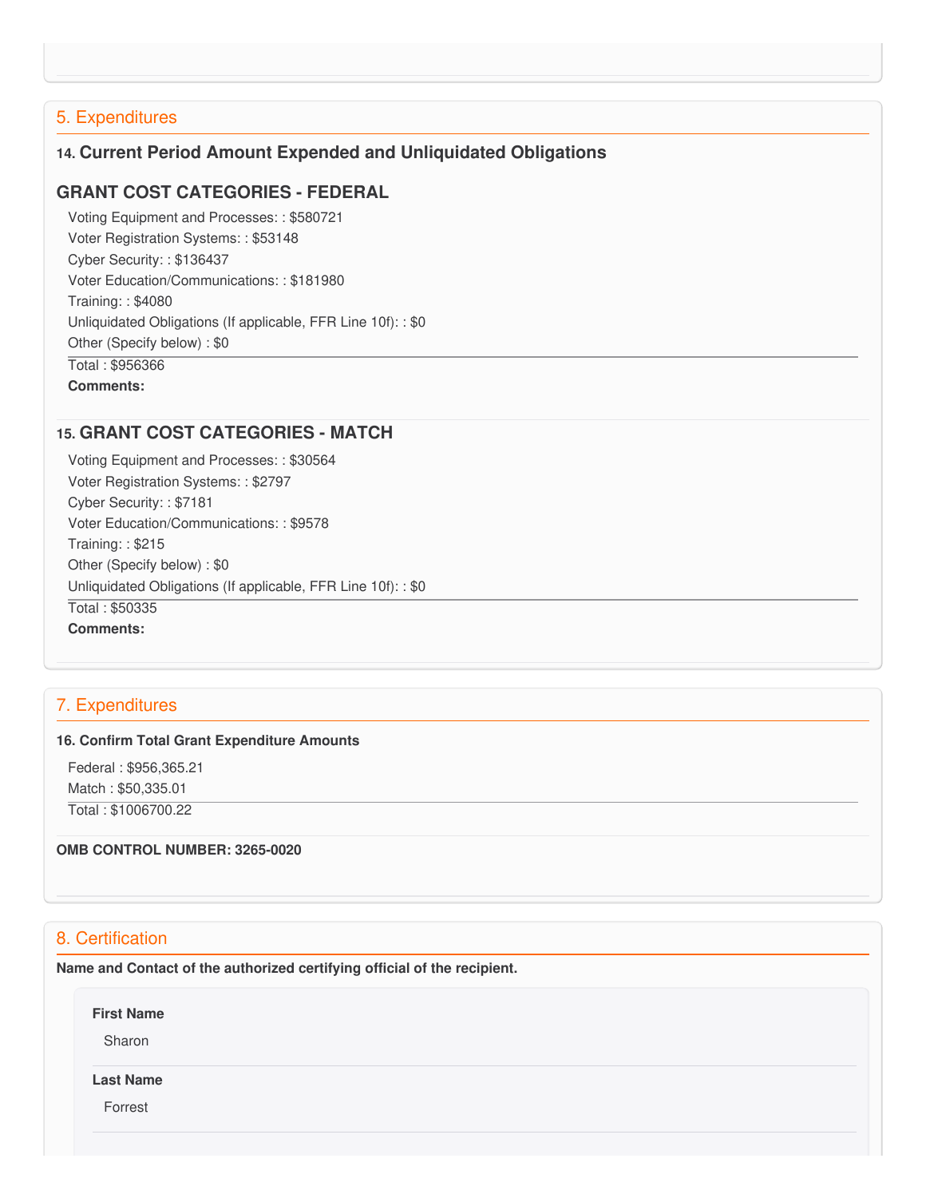# 5. Expenditures

# **14. Current Period Amount Expended and Unliquidated Obligations**

# **GRANT COST CATEGORIES - FEDERAL**

 Voting Equipment and Processes: : \$580721 Voter Registration Systems: : \$53148 Cyber Security: : \$136437 Voter Education/Communications: : \$181980 Training: : \$4080 Unliquidated Obligations (If applicable, FFR Line 10f): : \$0 Other (Specify below) : \$0 Total : \$956366 **Comments:**

## **15. GRANT COST CATEGORIES - MATCH**

 Voting Equipment and Processes: : \$30564 Voter Registration Systems: : \$2797 Cyber Security: : \$7181 Voter Education/Communications: : \$9578 Training: : \$215 Other (Specify below) : \$0 Unliquidated Obligations (If applicable, FFR Line 10f): : \$0 Total : \$50335 **Comments:**

# 7. Expenditures

#### **16. Confirm Total Grant Expenditure Amounts**

 Federal : \$[956,365.21](https://956,365.21) Match : \$[50,335.01](https://50,335.01)

Total : [\\$1006700.22](https://1006700.22)

 **OMB CONTROL NUMBER: 3265-0020**

# 8. Certification

 **Name and Contact of the authorized certifying official of the recipient.**

**First Name**

Sharon

#### **Last Name**

Forrest